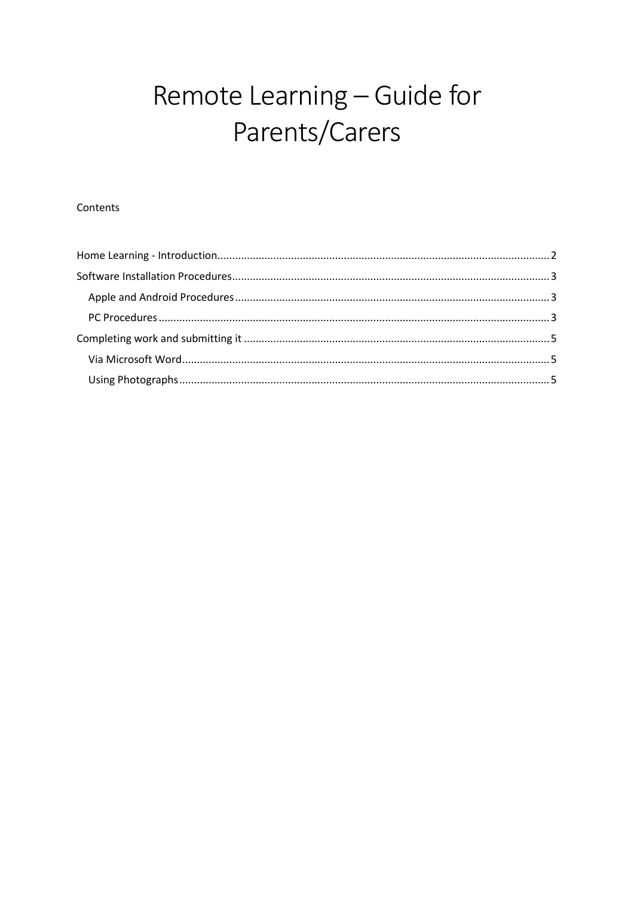# Remote Learning - Guide for Parents/Carers

#### Contents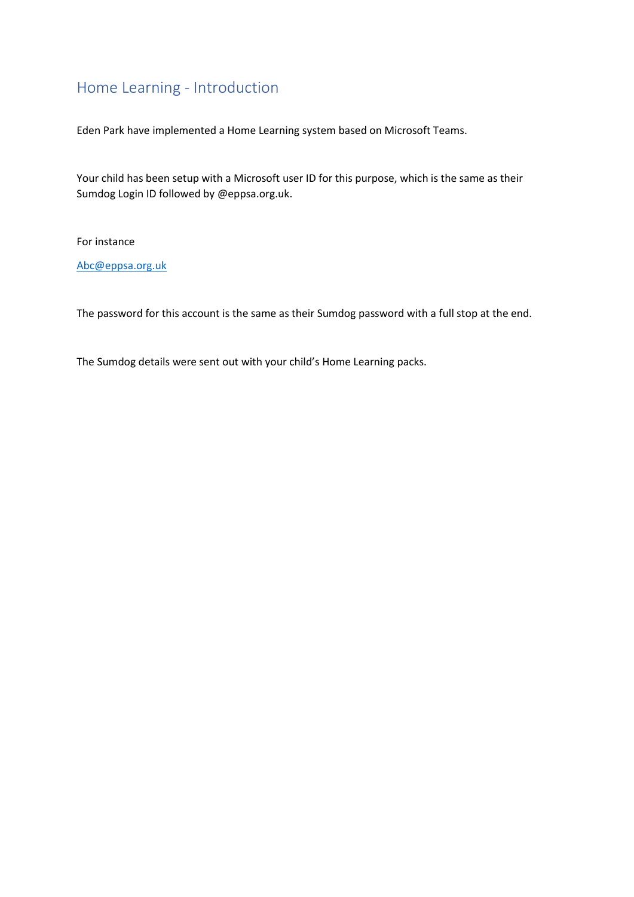## <span id="page-1-0"></span>Home Learning - Introduction

Eden Park have implemented a Home Learning system based on Microsoft Teams.

Your child has been setup with a Microsoft user ID for this purpose, which is the same as their Sumdog Login ID followed by @eppsa.org.uk.

For instance

[Abc@eppsa.org.uk](mailto:Abc@eppsa.org.uk)

The password for this account is the same as their Sumdog password with a full stop at the end.

The Sumdog details were sent out with your child's Home Learning packs.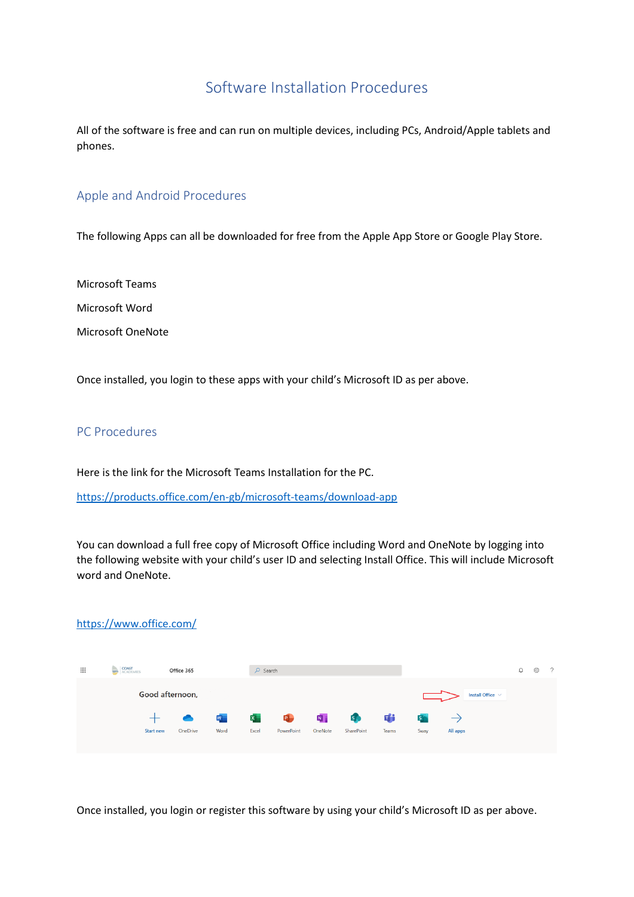## Software Installation Procedures

<span id="page-2-0"></span>All of the software is free and can run on multiple devices, including PCs, Android/Apple tablets and phones.

#### <span id="page-2-1"></span>Apple and Android Procedures

The following Apps can all be downloaded for free from the Apple App Store or Google Play Store.

Microsoft Teams

Microsoft Word

Microsoft OneNote

Once installed, you login to these apps with your child's Microsoft ID as per above.

#### <span id="page-2-2"></span>PC Procedures

Here is the link for the Microsoft Teams Installation for the PC.

<https://products.office.com/en-gb/microsoft-teams/download-app>

You can download a full free copy of Microsoft Office including Word and OneNote by logging into the following website with your child's user ID and selecting Install Office. This will include Microsoft word and OneNote.

|                 | https://www.office.com/                 |          |                     |                       |                        |              |                  |            |                     |                           |                       |   |      |          |
|-----------------|-----------------------------------------|----------|---------------------|-----------------------|------------------------|--------------|------------------|------------|---------------------|---------------------------|-----------------------|---|------|----------|
| ₩               | <b>COAST</b><br>ACADEMIES<br>Office 365 |          |                     |                       | $O$ Search             |              |                  |            |                     |                           |                       | Q | දිරි | $\gamma$ |
| Good afternoon, |                                         |          |                     |                       |                        |              |                  |            |                     |                           | Install Office $\sim$ |   |      |          |
|                 | Start new                               | OneDrive | $W_{\perp}$<br>Word | $\mathbf{x}$<br>Excel | <b>P</b><br>PowerPoint | N<br>OneNote | \$<br>SharePoint | Ŵ<br>Teams | $S_{\perp}$<br>Sway | $\rightarrow$<br>All apps |                       |   |      |          |
|                 |                                         |          |                     |                       |                        |              |                  |            |                     |                           |                       |   |      |          |

Once installed, you login or register this software by using your child's Microsoft ID as per above.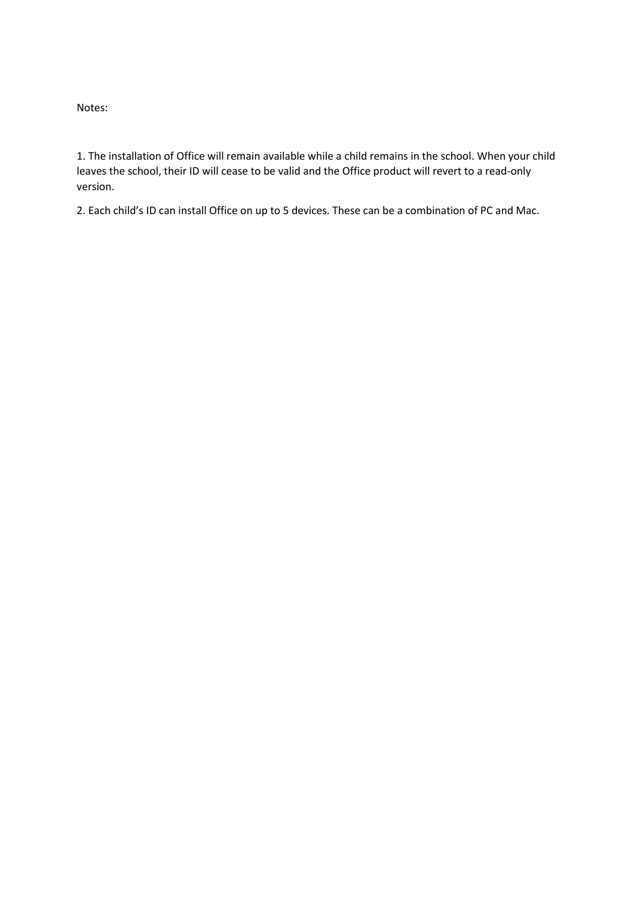Notes:

1. The installation of Office will remain available while a child remains in the school. When your child leaves the school, their ID will cease to be valid and the Office product will revert to a read-only version.

2. Each child's ID can install Office on up to 5 devices. These can be a combination of PC and Mac.